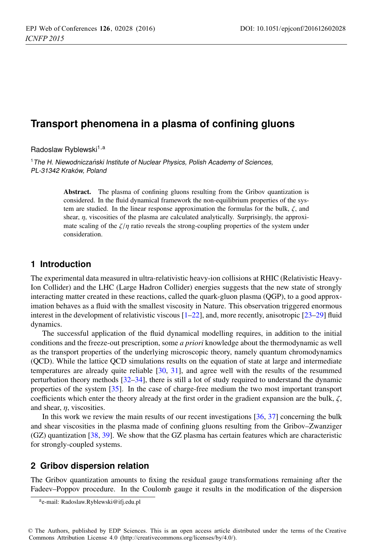# **Transport phenomena in a plasma of confining gluons**

Radoslaw Ryblewski<sup>1,a</sup>

 $1$ The H. Niewodniczański Institute of Nuclear Physics, Polish Academy of Sciences, PL-31342 Kraków, Poland

> Abstract. The plasma of confining gluons resulting from the Gribov quantization is considered. In the fluid dynamical framework the non-equilibrium properties of the system are studied. In the linear response approximation the formulas for the bulk,  $\zeta$ , and shear,  $\eta$ , viscosities of the plasma are calculated analytically. Surprisingly, the approximate scaling of the  $\zeta/\eta$  ratio reveals the strong-coupling properties of the system under consideration.

# **1 Introduction**

The experimental data measured in ultra-relativistic heavy-ion collisions at RHIC (Relativistic Heavy-Ion Collider) and the LHC (Large Hadron Collider) energies suggests that the new state of strongly interacting matter created in these reactions, called the quark-gluon plasma (QGP), to a good approximation behaves as a fluid with the smallest viscosity in Nature. This observation triggered enormous interest in the development of relativistic viscous [1–22], and, more recently, anisotropic [23–29] fluid dynamics.

The successful application of the fluid dynamical modelling requires, in addition to the initial conditions and the freeze-out prescription, some *a priori* knowledge about the thermodynamic as well as the transport properties of the underlying microscopic theory, namely quantum chromodynamics (QCD). While the lattice QCD simulations results on the equation of state at large and intermediate temperatures are already quite reliable [30, 31], and agree well with the results of the resummed perturbation theory methods [32–34], there is still a lot of study required to understand the dynamic properties of the system [35]. In the case of charge-free medium the two most important transport coefficients which enter the theory already at the first order in the gradient expansion are the bulk,  $\zeta$ , and shear, η, viscosities.

In this work we review the main results of our recent investigations  $[36, 37]$  concerning the bulk and shear viscosities in the plasma made of confining gluons resulting from the Gribov–Zwanziger (GZ) quantization [38, 39]. We show that the GZ plasma has certain features which are characteristic for strongly-coupled systems.

# **2 Gribov dispersion relation**

The Gribov quantization amounts to fixing the residual gauge transformations remaining after the Fadeev–Poppov procedure. In the Coulomb gauge it results in the modification of the dispersion

ae-mail: Radoslaw.Ryblewski@ifj.edu.pl

<sup>©</sup> The Authors, published by EDP Sciences. This is an open access article distributed under the terms of the Creative Commons Attribution License 4.0 (http://creativecommons.org/licenses/by/4.0/).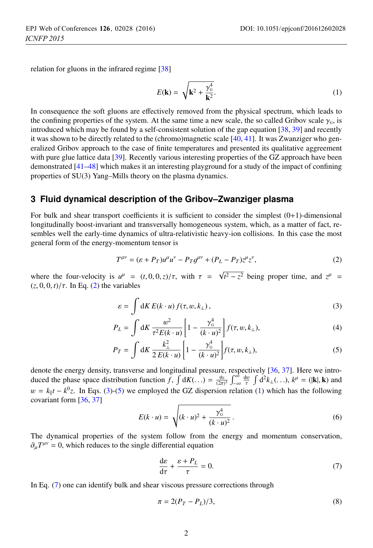relation for gluons in the infrared regime [38]

$$
E(\mathbf{k}) = \sqrt{\mathbf{k}^2 + \frac{\gamma_0^4}{\mathbf{k}^2}}.
$$
 (1)

In consequence the soft gluons are effectively removed from the physical spectrum, which leads to the confining properties of the system. At the same time a new scale, the so called Gribov scale  $\gamma_0$ , is introduced which may be found by a self-consistent solution of the gap equation [38, 39] and recently it was shown to be directly related to the (chromo)magnetic scale [40, 41]. It was Zwanziger who generalized Gribov approach to the case of finite temperatures and presented its qualitative aggreement with pure glue lattice data [39]. Recently various interesting properties of the GZ approach have been demonstrated [41–48] which makes it an interesting playground for a study of the impact of confining properties of SU(3) Yang–Mills theory on the plasma dynamics.

## **3 Fluid dynamical description of the Gribov–Zwanziger plasma**

For bulk and shear transport coefficients it is sufficient to consider the simplest  $(0+1)$ -dimensional longitudinally boost-invariant and transversally homogeneous system, which, as a matter of fact, resembles well the early-time dynamics of ultra-relativistic heavy-ion collisions. In this case the most general form of the energy-momentum tensor is

$$
T^{\mu\nu} = (\varepsilon + P_T)u^{\mu}u^{\nu} - P_Tg^{\mu\nu} + (P_L - P_T)z^{\mu}z^{\nu}, \tag{2}
$$

where the four-velocity is  $u^{\mu} = (t, 0, 0, z)/\tau$ , with  $\tau = \sqrt{t^2 - z^2}$  being proper time, and  $z^{\mu} = (z, 0, 0, t)/\tau$ . In Eq. (2) the variables  $(z, 0, 0, t) / \tau$ . In Eq. (2) the variables

$$
\varepsilon = \int \mathrm{d}K \, E(k \cdot u) \, f(\tau, w, k_{\perp}), \tag{3}
$$

$$
P_L = \int dK \frac{w^2}{\tau^2 E(k \cdot u)} \left[ 1 - \frac{\gamma_0^4}{(k \cdot u)^2} \right] f(\tau, w, k_\perp),\tag{4}
$$

$$
P_T = \int \mathrm{d}K \, \frac{k_{\perp}^2}{2 \, E(k \cdot u)} \left[ 1 - \frac{\gamma_6^4}{(k \cdot u)^2} \right] f(\tau, w, k_{\perp}), \tag{5}
$$

denote the energy density, transverse and longitudinal pressure, respectively [36, 37]. Here we introduced the phase space distribution function  $f$ ,  $\int dK(\dots) = \frac{g_0}{(2\pi)^{3/2}}$  $\int_{-\infty}^{\infty} \frac{dw}{\tau} \int d^2 k_{\perp}(\dots), k^{\mu} = (|\mathbf{k}|, \mathbf{k}) \text{ and}$  $w = k_{\parallel}t - k^0z$ . In Eqs. (3)-(5) we employed the GZ dispersion relation (1) which has the following covariant form  $\frac{136-371}{2}$ covariant form [36, 37]

$$
E(k \cdot u) = \sqrt{(k \cdot u)^2 + \frac{\gamma_0^4}{(k \cdot u)^2}}.
$$
 (6)

The dynamical properties of the system follow from the energy and momentum conservation,  $\partial_{\mu}T^{\mu\nu} = 0$ , which reduces to the single differential equation

$$
\frac{d\varepsilon}{d\tau} + \frac{\varepsilon + P_L}{\tau} = 0.
$$
 (7)

In Eq. (7) one can identify bulk and shear viscous pressure corrections through

$$
\pi = 2(P_T - P_L)/3,
$$
\n(8)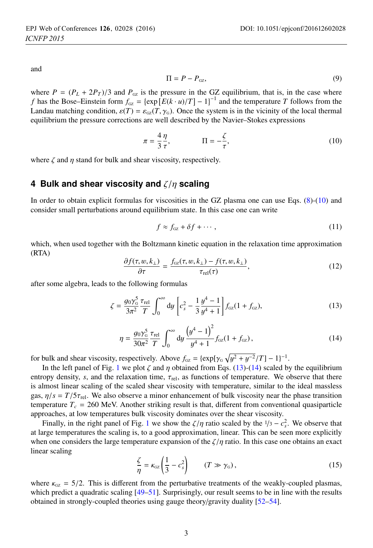and

$$
\Pi = P - P_{\text{GZ}},\tag{9}
$$

where  $P = (P_L + 2P_T)/3$  and  $P_{\text{GZ}}$  is the pressure in the GZ equilibrium, that is, in the case where *f* has the Bose–Einstein form  $f_{GZ} = \{ \exp [E(k \cdot u)/T] - 1 \}^{-1}$  and the temperature *T* follows from the local thermal Landau matching condition,  $\varepsilon(T) = \varepsilon_{\text{GZ}}(T, \gamma_{\text{G}})$ . Once the system is in the vicinity of the local thermal equilibrium the pressure corrections are well described by the Navier–Stokes expressions

$$
\pi = \frac{4}{3} \frac{\eta}{\tau}, \qquad \qquad \Pi = -\frac{\zeta}{\tau}, \tag{10}
$$

where  $\zeta$  and  $\eta$  stand for bulk and shear viscosity, respectively.

#### **4 Bulk and shear viscosity and** ζ/η **scaling**

In order to obtain explicit formulas for viscosities in the GZ plasma one can use Eqs. (8)-(10) and consider small perturbations around equilibrium state. In this case one can write

$$
f \approx f_{\text{GZ}} + \delta f + \cdots, \tag{11}
$$

which, when used together with the Boltzmann kinetic equation in the relaxation time approximation (RTA)

$$
\frac{\partial f(\tau, w, k_{\perp})}{\partial \tau} = \frac{f_{\text{GZ}}(\tau, w, k_{\perp}) - f(\tau, w, k_{\perp})}{\tau_{\text{rel}}(\tau)},\tag{12}
$$

after some algebra, leads to the following formulas

$$
\zeta = \frac{g_0 \gamma_{\rm G}^5}{3\pi^2} \frac{\tau_{\rm rel}}{T} \int_0^\infty dy \left[ c_s^2 - \frac{1}{3} \frac{y^4 - 1}{y^4 + 1} \right] f_{\rm GZ}(1 + f_{\rm GZ}),\tag{13}
$$

$$
\eta = \frac{g_0 \gamma_{\rm G}^5}{30\pi^2} \frac{\tau_{\rm rel}}{T} \int_0^\infty dy \frac{\left(y^4 - 1\right)^2}{y^4 + 1} f_{\rm gz}(1 + f_{\rm gz}),\tag{14}
$$

for bulk and shear viscosity, respectively. Above  $f_{GZ} = \{ \exp[\gamma_G \sqrt{y^2 + y^{-2}}/T] - 1 \}^{-1}$ .<br>In the left panel of Fig. 1 we plot  $\zeta$  and *n* obtained from Eqs. (13)-(14) scaled by

In the left panel of Fig. 1 we plot  $\zeta$  and  $\eta$  obtained from Eqs. (13)-(14) scaled by the equilibrium entropy density, *s*, and the relaxation time,  $\tau_{rel}$ , as functions of temperature. We observe that there is almost linear scaling of the scaled shear viscosity with temperature, similar to the ideal massless gas,  $\eta/s = T/5\tau_{rel}$ . We also observe a minor enhancement of bulk viscosity near the phase transition temperature  $T_c = 260$  MeV. Another striking result is that, different from conventional quasiparticle approaches, at low temperatures bulk viscosity dominates over the shear viscosity.

Finally, in the right panel of Fig. 1 we show the  $\zeta/\eta$  ratio scaled by the  $1/3 - c_s^2$ . We observe that  $\eta$  are termines the scaling is to a good approximation, linear. This can be seen more explicitly at large temperatures the scaling is, to a good approximation, linear. This can be seen more explicitly when one considers the large temperature expansion of the  $\zeta/\eta$  ratio. In this case one obtains an exact linear scaling

$$
\frac{\zeta}{\eta} = \kappa_{\text{GZ}} \left( \frac{1}{3} - c_s^2 \right) \qquad (T \gg \gamma_{\text{G}}), \tag{15}
$$

where  $\kappa_{GZ} = 5/2$ . This is different from the perturbative treatments of the weakly-coupled plasmas, which predict a quadratic scaling  $[49-51]$ . Surprisingly, our result seems to be in line with the results obtained in strongly-coupled theories using gauge theory/gravity duality [52–54].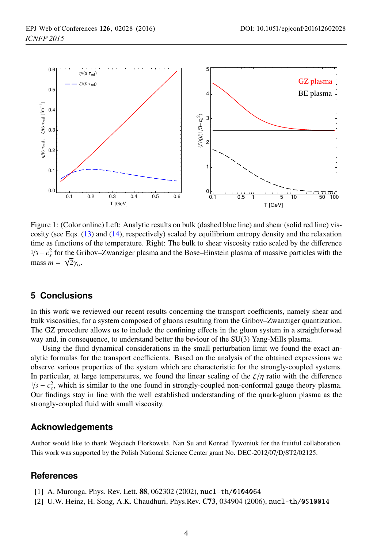

Figure 1: (Color online) Left: Analytic results on bulk (dashed blue line) and shear (solid red line) viscosity (see Eqs. (13) and (14), respectively) scaled by equilibrium entropy density and the relaxation time as functions of the temperature. Right: The bulk to shear viscosity ratio scaled by the difference <sup>1/3</sup> −  $c_s^2$  for the Gribov–Zwanziger plasma and the Bose–Einstein plasma of massive particles with the mass  $m = \sqrt{2}$  $m = \sqrt{2}\gamma_{\rm G}.$ <br>mass  $m = \sqrt{2}\gamma_{\rm G}.$ 

# **5 Conclusions**

In this work we reviewed our recent results concerning the transport coefficients, namely shear and bulk viscosities, for a system composed of gluons resulting from the Gribov–Zwanziger quantization. The GZ procedure allows us to include the confining effects in the gluon system in a straightforwad way and, in consequence, to understand better the beviour of the SU(3) Yang-Mills plasma.

Using the fluid dynamical considerations in the small perturbation limit we found the exact analytic formulas for the transport coefficients. Based on the analysis of the obtained expressions we observe various properties of the system which are characteristic for the strongly-coupled systems. In particular, at large temperatures, we found the linear scaling of the  $\zeta/\eta$  ratio with the difference  $1/3 - c_s^2$ , which is similar to the one found in strongly-coupled non-conformal gauge theory plasma. Our findings stay in line with the well established understanding of the quark-gluon plasma as the strongly-coupled fluid with small viscosity.

#### **Acknowledgements**

Author would like to thank Wojciech Florkowski, Nan Su and Konrad Tywoniuk for the fruitful collaboration. This work was supported by the Polish National Science Center grant No. DEC-2012/07/D/ST2/02125.

## **References**

- [1] A. Muronga, Phys. Rev. Lett. 88, 062302 (2002), nucl-th/0104064
- [2] U.W. Heinz, H. Song, A.K. Chaudhuri, Phys.Rev. C73, 034904 (2006), nucl-th/0510014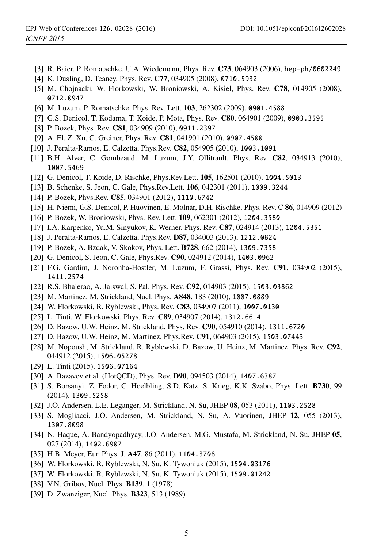- [3] R. Baier, P. Romatschke, U.A. Wiedemann, Phys. Rev. C73, 064903 (2006), hep-ph/0602249
- [4] K. Dusling, D. Teaney, Phys. Rev. C77, 034905 (2008), 0710.5932
- [5] M. Chojnacki, W. Florkowski, W. Broniowski, A. Kisiel, Phys. Rev. C78, 014905 (2008), 0712.0947
- [6] M. Luzum, P. Romatschke, Phys. Rev. Lett. 103, 262302 (2009), 0901.4588
- [7] G.S. Denicol, T. Kodama, T. Koide, P. Mota, Phys. Rev. C80, 064901 (2009), 0903.3595
- [8] P. Bozek, Phys. Rev. C81, 034909 (2010), 0911.2397
- [9] A. El, Z. Xu, C. Greiner, Phys. Rev. C81, 041901 (2010), 0907.4500
- [10] J. Peralta-Ramos, E. Calzetta, Phys.Rev. C82, 054905 (2010), 1003.1091
- [11] B.H. Alver, C. Gombeaud, M. Luzum, J.Y. Ollitrault, Phys. Rev. **C82**, 034913 (2010), 1007.5469
- [12] G. Denicol, T. Koide, D. Rischke, Phys.Rev.Lett. 105, 162501 (2010), 1004.5013
- [13] B. Schenke, S. Jeon, C. Gale, Phys.Rev.Lett. 106, 042301 (2011), 1009.3244
- [14] P. Bozek, Phys.Rev. C85, 034901 (2012), 1110.6742
- [15] H. Niemi, G.S. Denicol, P. Huovinen, E. Molnár, D.H. Rischke, Phys. Rev. C 86, 014909 (2012)
- [16] P. Bozek, W. Broniowski, Phys. Rev. Lett. 109, 062301 (2012), 1204.3580
- [17] I.A. Karpenko, Yu.M. Sinyukov, K. Werner, Phys. Rev. C87, 024914 (2013), 1204.5351
- [18] J. Peralta-Ramos, E. Calzetta, Phys.Rev. D87, 034003 (2013), 1212.0824
- [19] P. Bozek, A. Bzdak, V. Skokov, Phys. Lett. B728, 662 (2014), 1309.7358
- [20] G. Denicol, S. Jeon, C. Gale, Phys.Rev. C90, 024912 (2014), 1403.0962
- [21] F.G. Gardim, J. Noronha-Hostler, M. Luzum, F. Grassi, Phys. Rev. C91, 034902 (2015), 1411.2574
- [22] R.S. Bhalerao, A. Jaiswal, S. Pal, Phys. Rev. C92, 014903 (2015), 1503.03862
- [23] M. Martinez, M. Strickland, Nucl. Phys. A848, 183 (2010), 1007.0889
- [24] W. Florkowski, R. Ryblewski, Phys. Rev. C83, 034907 (2011), 1007.0130
- [25] L. Tinti, W. Florkowski, Phys. Rev. C89, 034907 (2014), 1312.6614
- [26] D. Bazow, U.W. Heinz, M. Strickland, Phys. Rev. C90, 054910 (2014), 1311.6720
- [27] D. Bazow, U.W. Heinz, M. Martinez, Phys.Rev. C91, 064903 (2015), 1503.07443
- [28] M. Nopoush, M. Strickland, R. Ryblewski, D. Bazow, U. Heinz, M. Martinez, Phys. Rev. C92, 044912 (2015), 1506.05278
- [29] L. Tinti (2015), 1506.07164
- [30] A. Bazavov et al. (HotQCD), Phys. Rev. D90, 094503 (2014), 1407.6387
- [31] S. Borsanyi, Z. Fodor, C. Hoelbling, S.D. Katz, S. Krieg, K.K. Szabo, Phys. Lett. B730, 99 (2014), 1309.5258
- [32] J.O. Andersen, L.E. Leganger, M. Strickland, N. Su, JHEP 08, 053 (2011), 1103.2528
- [33] S. Mogliacci, J.O. Andersen, M. Strickland, N. Su, A. Vuorinen, JHEP 12, 055 (2013), 1307.8098
- [34] N. Haque, A. Bandyopadhyay, J.O. Andersen, M.G. Mustafa, M. Strickland, N. Su, JHEP 05, 027 (2014), 1402.6907
- [35] H.B. Meyer, Eur. Phys. J. A47, 86 (2011), 1104.3708
- [36] W. Florkowski, R. Ryblewski, N. Su, K. Tywoniuk (2015), 1504.03176
- [37] W. Florkowski, R. Ryblewski, N. Su, K. Tywoniuk (2015), 1509.01242
- [38] V.N. Gribov, Nucl. Phys. **B139**, 1 (1978)
- [39] D. Zwanziger, Nucl. Phys. **B323**, 513 (1989)